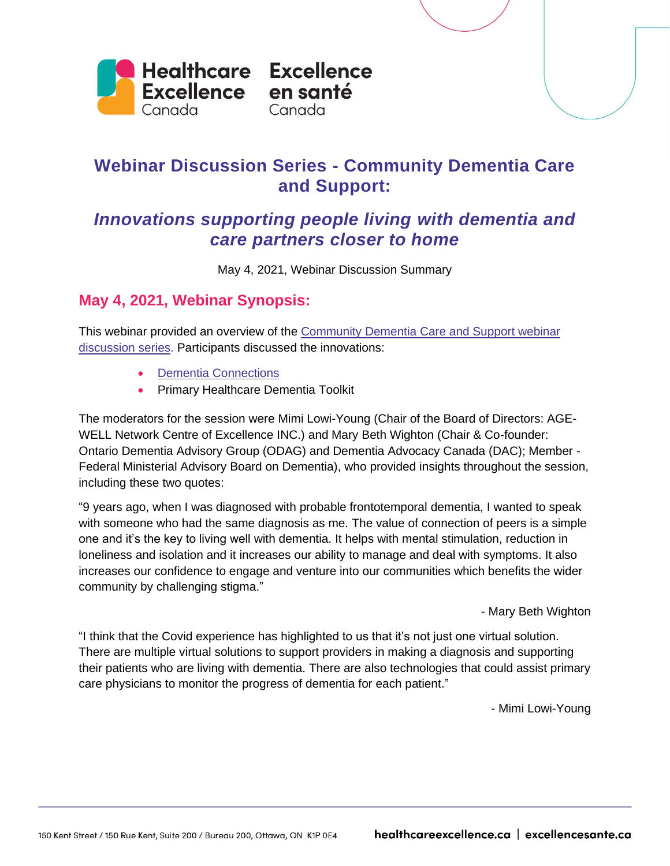

# **Webinar Discussion Series - Community Dementia Care and Support:**

## *Innovations supporting people living with dementia and care partners closer to home*

May 4, 2021, Webinar Discussion Summary

### **May 4, 2021, Webinar Synopsis:**

This webinar provided an overview of the [Community Dementia Care and Support webinar](https://www.cfhi-fcass.ca/opportunities/webinars/community-dementia-care-and-support)  [discussion series.](https://www.cfhi-fcass.ca/opportunities/webinars/community-dementia-care-and-support) Participants discussed the innovations:

- [Dementia Connections](https://www.stonyplain.com/en/live/connecting-to-your-community.aspx)
- Primary Healthcare Dementia Toolkit

The moderators for the session were Mimi Lowi-Young (Chair of the Board of Directors: AGE-WELL Network Centre of Excellence INC.) and Mary Beth Wighton (Chair & Co-founder: Ontario Dementia Advisory Group (ODAG) and Dementia Advocacy Canada (DAC); Member - Federal Ministerial Advisory Board on Dementia), who provided insights throughout the session, including these two quotes:

"9 years ago, when I was diagnosed with probable frontotemporal dementia, I wanted to speak with someone who had the same diagnosis as me. The value of connection of peers is a simple one and it's the key to living well with dementia. It helps with mental stimulation, reduction in loneliness and isolation and it increases our ability to manage and deal with symptoms. It also increases our confidence to engage and venture into our communities which benefits the wider community by challenging stigma."

- Mary Beth Wighton

"I think that the Covid experience has highlighted to us that it's not just one virtual solution. There are multiple virtual solutions to support providers in making a diagnosis and supporting their patients who are living with dementia. There are also technologies that could assist primary care physicians to monitor the progress of dementia for each patient."

- Mimi Lowi-Young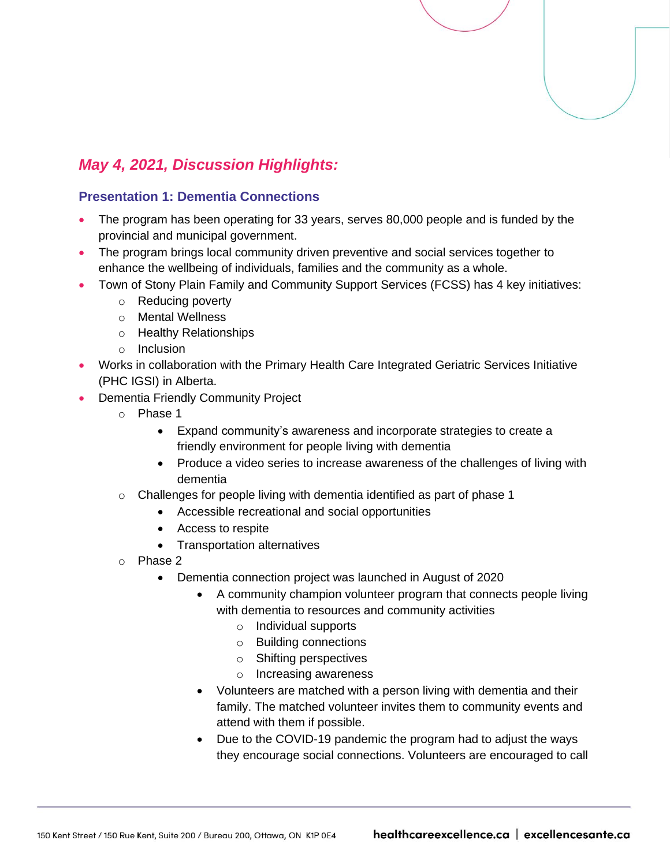

## *May 4, 2021, Discussion Highlights:*

#### **Presentation 1: Dementia Connections**

- The program has been operating for 33 years, serves 80,000 people and is funded by the provincial and municipal government.
- The program brings local community driven preventive and social services together to enhance the wellbeing of individuals, families and the community as a whole.
	- Town of Stony Plain Family and Community Support Services (FCSS) has 4 key initiatives:
		- o Reducing poverty
		- o Mental Wellness
		- o Healthy Relationships
		- o Inclusion
- Works in collaboration with the Primary Health Care Integrated Geriatric Services Initiative (PHC IGSI) in Alberta.
- Dementia Friendly Community Project
	- o Phase 1
		- Expand community's awareness and incorporate strategies to create a friendly environment for people living with dementia
		- Produce a video series to increase awareness of the challenges of living with dementia
	- o Challenges for people living with dementia identified as part of phase 1
		- Accessible recreational and social opportunities
		- Access to respite
		- Transportation alternatives
	- o Phase 2
		- Dementia connection project was launched in August of 2020
			- A community champion volunteer program that connects people living with dementia to resources and community activities
				- o Individual supports
				- o Building connections
				- o Shifting perspectives
				- o Increasing awareness
			- Volunteers are matched with a person living with dementia and their family. The matched volunteer invites them to community events and attend with them if possible.
			- Due to the COVID-19 pandemic the program had to adjust the ways they encourage social connections. Volunteers are encouraged to call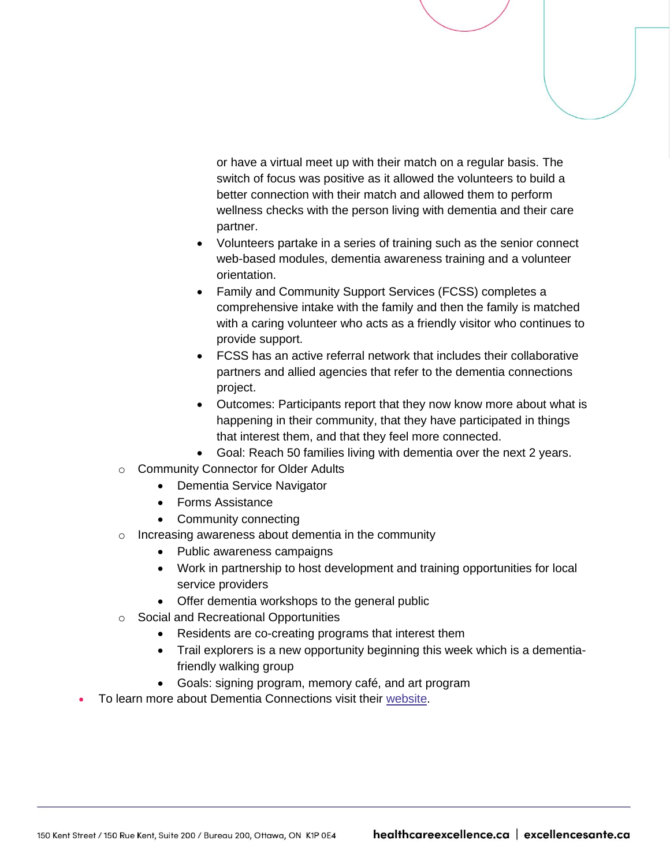or have a virtual meet up with their match on a regular basis. The switch of focus was positive as it allowed the volunteers to build a better connection with their match and allowed them to perform wellness checks with the person living with dementia and their care partner.

- Volunteers partake in a series of training such as the senior connect web-based modules, dementia awareness training and a volunteer orientation.
- Family and Community Support Services (FCSS) completes a comprehensive intake with the family and then the family is matched with a caring volunteer who acts as a friendly visitor who continues to provide support.
- FCSS has an active referral network that includes their collaborative partners and allied agencies that refer to the dementia connections project.
- Outcomes: Participants report that they now know more about what is happening in their community, that they have participated in things that interest them, and that they feel more connected.
- Goal: Reach 50 families living with dementia over the next 2 years.
- o Community Connector for Older Adults
	- Dementia Service Navigator
	- Forms Assistance
	- Community connecting
- o Increasing awareness about dementia in the community
	- Public awareness campaigns
	- Work in partnership to host development and training opportunities for local service providers
	- Offer dementia workshops to the general public
- o Social and Recreational Opportunities
	- Residents are co-creating programs that interest them
	- Trail explorers is a new opportunity beginning this week which is a dementiafriendly walking group
	- Goals: signing program, memory café, and art program
- To learn more about Dementia Connections visit their [website.](https://www.stonyplain.com/en/live/connecting-to-your-community.aspx)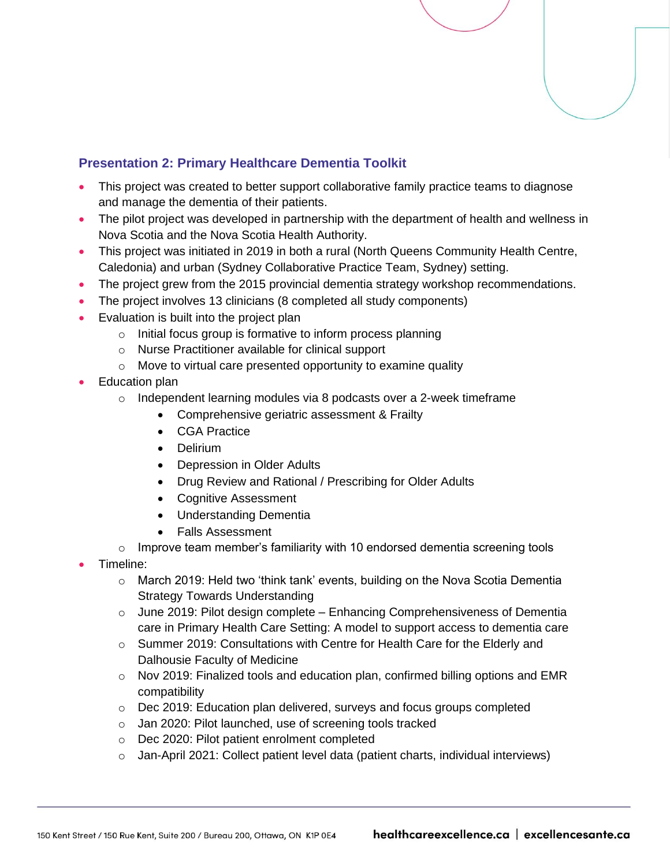#### **Presentation 2: Primary Healthcare Dementia Toolkit**

- This project was created to better support collaborative family practice teams to diagnose and manage the dementia of their patients.
- The pilot project was developed in partnership with the department of health and wellness in Nova Scotia and the Nova Scotia Health Authority.
- This project was initiated in 2019 in both a rural (North Queens Community Health Centre, Caledonia) and urban (Sydney Collaborative Practice Team, Sydney) setting.
- The project grew from the 2015 provincial dementia strategy workshop recommendations.
- The project involves 13 clinicians (8 completed all study components)
- Evaluation is built into the project plan
	- o Initial focus group is formative to inform process planning
	- o Nurse Practitioner available for clinical support
	- $\circ$  Move to virtual care presented opportunity to examine quality
- Education plan
	- $\circ$  Independent learning modules via 8 podcasts over a 2-week timeframe
		- Comprehensive geriatric assessment & Frailty
		- CGA Practice
		- Delirium
		- Depression in Older Adults
		- Drug Review and Rational / Prescribing for Older Adults
		- Cognitive Assessment
		- Understanding Dementia
		- Falls Assessment
	- $\circ$  Improve team member's familiarity with 10 endorsed dementia screening tools
- Timeline:
	- o March 2019: Held two 'think tank' events, building on the Nova Scotia Dementia Strategy Towards Understanding
	- $\circ$  June 2019: Pilot design complete Enhancing Comprehensiveness of Dementia care in Primary Health Care Setting: A model to support access to dementia care
	- o Summer 2019: Consultations with Centre for Health Care for the Elderly and Dalhousie Faculty of Medicine
	- $\circ$  Nov 2019: Finalized tools and education plan, confirmed billing options and EMR compatibility
	- $\circ$  Dec 2019: Education plan delivered, surveys and focus groups completed
	- o Jan 2020: Pilot launched, use of screening tools tracked
	- o Dec 2020: Pilot patient enrolment completed
	- $\circ$  Jan-April 2021: Collect patient level data (patient charts, individual interviews)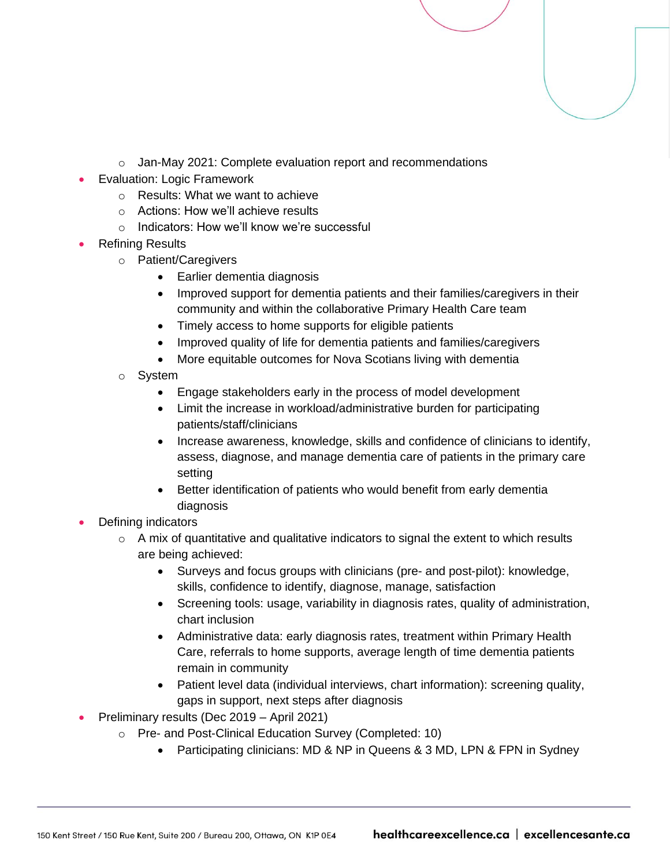- o Jan-May 2021: Complete evaluation report and recommendations
- Evaluation: Logic Framework
	- o Results: What we want to achieve
	- o Actions: How we'll achieve results
	- o Indicators: How we'll know we're successful
- Refining Results
	- o Patient/Caregivers
		- Earlier dementia diagnosis
		- Improved support for dementia patients and their families/caregivers in their community and within the collaborative Primary Health Care team
		- Timely access to home supports for eligible patients
		- Improved quality of life for dementia patients and families/caregivers
		- More equitable outcomes for Nova Scotians living with dementia
	- o System
		- Engage stakeholders early in the process of model development
		- Limit the increase in workload/administrative burden for participating patients/staff/clinicians
		- Increase awareness, knowledge, skills and confidence of clinicians to identify, assess, diagnose, and manage dementia care of patients in the primary care setting
		- Better identification of patients who would benefit from early dementia diagnosis
- Defining indicators
	- $\circ$  A mix of quantitative and qualitative indicators to signal the extent to which results are being achieved:
		- Surveys and focus groups with clinicians (pre- and post-pilot): knowledge, skills, confidence to identify, diagnose, manage, satisfaction
		- Screening tools: usage, variability in diagnosis rates, quality of administration, chart inclusion
		- Administrative data: early diagnosis rates, treatment within Primary Health Care, referrals to home supports, average length of time dementia patients remain in community
		- Patient level data (individual interviews, chart information): screening quality, gaps in support, next steps after diagnosis
- Preliminary results (Dec 2019 April 2021)
	- o Pre- and Post-Clinical Education Survey (Completed: 10)
		- Participating clinicians: MD & NP in Queens & 3 MD, LPN & FPN in Sydney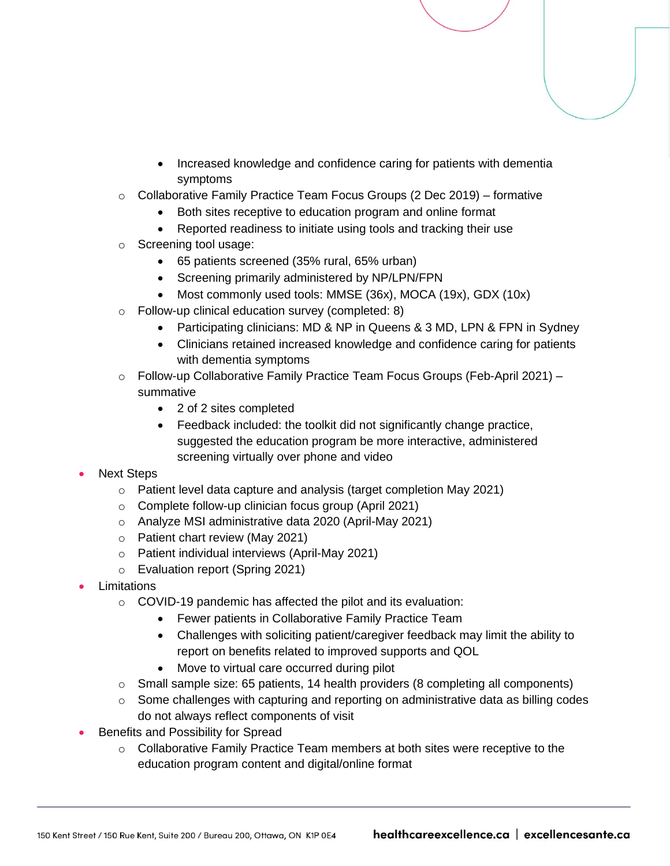- Increased knowledge and confidence caring for patients with dementia symptoms
- $\circ$  Collaborative Family Practice Team Focus Groups (2 Dec 2019) formative
	- Both sites receptive to education program and online format
	- Reported readiness to initiate using tools and tracking their use
- o Screening tool usage:
	- 65 patients screened (35% rural, 65% urban)
	- Screening primarily administered by NP/LPN/FPN
	- Most commonly used tools: MMSE (36x), MOCA (19x), GDX (10x)
- o Follow-up clinical education survey (completed: 8)
	- Participating clinicians: MD & NP in Queens & 3 MD, LPN & FPN in Sydney
	- Clinicians retained increased knowledge and confidence caring for patients with dementia symptoms
- o Follow-up Collaborative Family Practice Team Focus Groups (Feb-April 2021) summative
	- 2 of 2 sites completed
	- Feedback included: the toolkit did not significantly change practice, suggested the education program be more interactive, administered screening virtually over phone and video
- Next Steps
	- o Patient level data capture and analysis (target completion May 2021)
	- o Complete follow-up clinician focus group (April 2021)
	- o Analyze MSI administrative data 2020 (April-May 2021)
	- o Patient chart review (May 2021)
	- o Patient individual interviews (April-May 2021)
	- o Evaluation report (Spring 2021)
- **Limitations** 
	- o COVID-19 pandemic has affected the pilot and its evaluation:
		- Fewer patients in Collaborative Family Practice Team
		- Challenges with soliciting patient/caregiver feedback may limit the ability to report on benefits related to improved supports and QOL
		- Move to virtual care occurred during pilot
	- o Small sample size: 65 patients, 14 health providers (8 completing all components)
	- o Some challenges with capturing and reporting on administrative data as billing codes do not always reflect components of visit
- Benefits and Possibility for Spread
	- $\circ$  Collaborative Family Practice Team members at both sites were receptive to the education program content and digital/online format